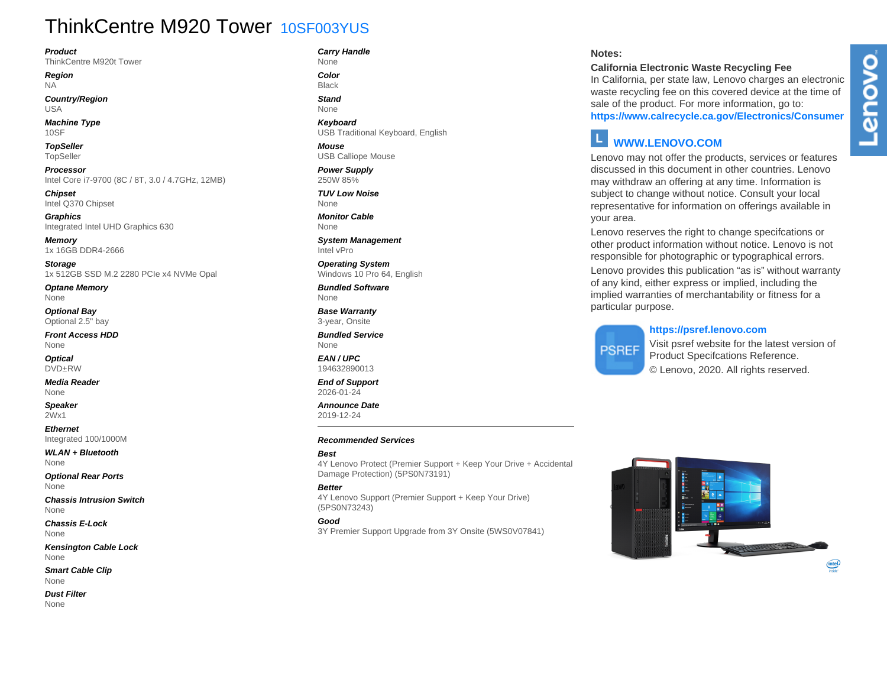## ThinkCentre M920 Tower 10SF003YUS

#### **Product**

ThinkCentre M920t Tower

**Region** NA

**Country/Region** USA

**Machine Type** 10SF

**TopSeller** TopSeller

**Processor** Intel Core i7-9700 (8C / 8T, 3.0 / 4.7GHz, 12MB)

**Chipset** Intel Q370 Chipset

**Graphics** Integrated Intel UHD Graphics 630

**Memory** 1x 16GB DDR4-2666

**Storage** 1x 512GB SSD M.2 2280 PCIe x4 NVMe Opal

**Optane Memory** None

**Optional Bay** Optional 2.5" bay

**Front Access HDD** None

**Optical** DVD±RW

**Media Reader** None

**Speaker** 2Wx1

**Ethernet** Integrated 100/1000M

**WLAN + Bluetooth** None

**Optional Rear Ports** None

**Chassis Intrusion Switch** None

**Chassis E-Lock** None

**Kensington Cable Lock** None

**Smart Cable Clip** None

**Dust Filter** None

**Carry Handle**

None **Color** Black

**Stand** None

**Keyboard** USB Traditional Keyboard, English

**Mouse** USB Calliope Mouse

**Power Supply** 250W 85%

**TUV Low Noise** None

**Monitor Cable** None

**System Management** Intel vPro

**Operating System** Windows 10 Pro 64, English

**Bundled Software** None

**Base Warranty** 3-year, Onsite

**Bundled Service** None

**EAN / UPC** 194632890013

**End of Support** 2026-01-24

**Announce Date** 2019-12-24

#### **Recommended Services**

**Best**

4Y Lenovo Protect (Premier Support + Keep Your Drive + Accidental Damage Protection) (5PS0N73191)

#### **Better**

4Y Lenovo Support (Premier Support + Keep Your Drive) (5PS0N73243)

#### **Good**

3Y Premier Support Upgrade from 3Y Onsite (5WS0V07841)

#### **Notes:**

#### **California Electronic Waste Recycling Fee**

In California, per state law, Lenovo charges an electronic waste recycling fee on this covered device at the time of sale of the product. For more information, go to: **https://www.calrecycle.ca.gov/Electronics/Consumer**

## **WWW.LENOVO.COM**

Lenovo may not offer the products, services or features discussed in this document in other countries. Lenovo may withdraw an offering at any time. Information is subject to change without notice. Consult your local representative for information on offerings available in your area.

Lenovo reserves the right to change specifcations or other product information without notice. Lenovo is not responsible for photographic or typographical errors. Lenovo provides this publication "as is" without warranty of any kind, either express or implied, including the implied warranties of merchantability or fitness for a particular purpose.

# **PSREF**

**https://psref.lenovo.com** Visit psref website for the latest version of Product Specifcations Reference. © Lenovo, 2020. All rights reserved.

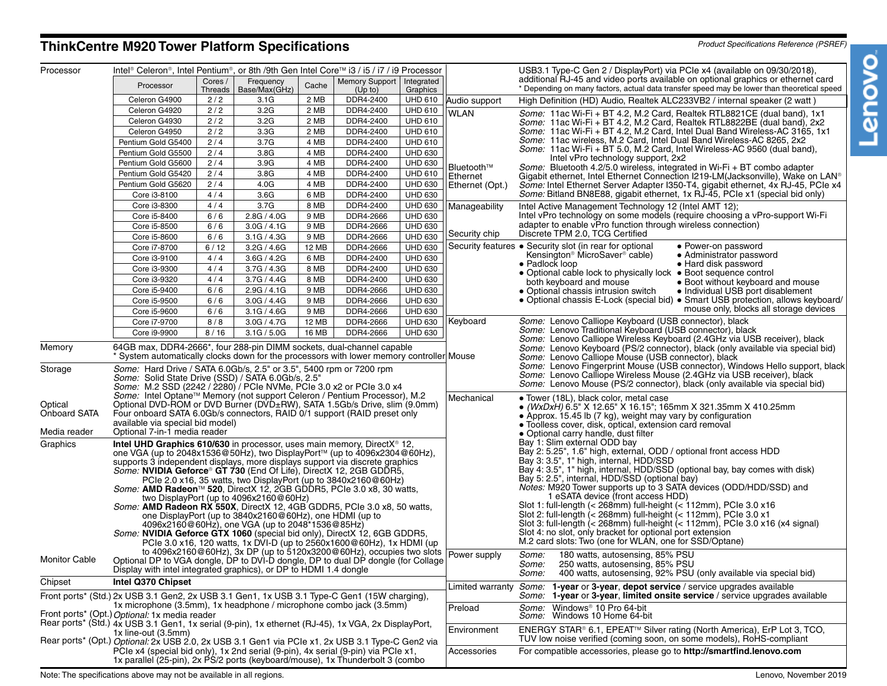### **ThinkCentre M920 Tower Platform Specifications Product Specifications Reference (PSREF)**

| Cores /<br>Frequency<br>Memory Support   Integrated<br>Cache<br>Processor<br>* Depending on many factors, actual data transfer speed may be lower than theoretical speed<br>Base/Max(GHz)<br>Threads<br>(Up to)<br>Graphics<br>2/2<br><b>UHD 610</b><br>Celeron G4900<br>3.1G<br>2 MB<br>DDR4-2400<br>Audio support<br>High Definition (HD) Audio, Realtek ALC233VB2 / internal speaker (2 watt)<br>2/2<br>3.2G<br>DDR4-2400<br><b>UHD 610</b><br>Celeron G4920<br>2 MB<br><b>WLAN</b><br>Some: 11ac Wi-Fi + BT 4.2, M.2 Card, Realtek RTL8821CE (dual band), 1x1<br>2/2<br>3.2G<br>2 MB<br>DDR4-2400<br><b>UHD 610</b><br>Celeron G4930<br>Some: 11ac Wi-Fi + BT 4.2, M.2 Card, Realtek RTL8822BE (dual band), 2x2<br>Celeron G4950<br>2/2<br>3.3G<br>DDR4-2400<br><b>UHD 610</b><br>Some: 11ac Wi-Fi + BT 4.2, M.2 Card, Intel Dual Band Wireless-AC 3165, 1x1<br>2 MB<br>Some: 11ac wireless, M.2 Card, Intel Dual Band Wireless-AC 8265, 2x2<br>Pentium Gold G5400<br>2/4<br>3.7G<br>4 MB<br>DDR4-2400<br><b>UHD 610</b><br>Some: 11ac Wi-Fi + BT 5.0, M.2 Card, Intel Wireless-AC 9560 (dual band),<br>Pentium Gold G5500<br>2/4<br>3.8G<br>DDR4-2400<br><b>UHD 630</b><br>4 MB<br>Intel vPro technology support, 2x2<br>2/4<br>3.9G<br>DDR4-2400<br><b>UHD 630</b><br>Pentium Gold G5600<br>4 MB<br>Bluetooth™<br>Some: Bluetooth 4.2/5.0 wireless, integrated in Wi-Fi + BT combo adapter<br>Pentium Gold G5420<br>2/4<br>3.8G<br>DDR4-2400<br><b>UHD 610</b><br>4 MB<br>Ethernet<br>Gigabit ethernet, Intel Ethernet Connection I219-LM(Jacksonville), Wake on LAN®<br>Pentium Gold G5620<br>2/4<br>4.0G<br>DDR4-2400<br><b>UHD 630</b><br>4 MB<br>Ethernet (Opt.)<br>Some: Intel Ethernet Server Adapter I350-T4, gigabit ethernet, 4x RJ-45, PCIe x4<br>Some: Bitland BN8E88, gigabit ethernet, 1x RJ-45, PCIe x1 (special bid only)<br>3.6G<br>DDR4-2400<br><b>UHD 630</b><br>Core i3-8100<br>4/4<br>6 MB<br>3.7G<br>Core i3-8300<br>4/4<br>DDR4-2400<br><b>UHD 630</b><br>8 MB<br>Manageability<br>Intel Active Management Technology 12 (Intel AMT 12);<br>6/6<br>2.8G / 4.0G<br>DDR4-2666<br><b>UHD 630</b><br>Intel vPro technology on some models (require choosing a vPro-support Wi-Fi<br>Core i5-8400<br>9 MB<br>adapter to enable vPro function through wireless connection)<br>6/6<br>3.0G / 4.1G<br>DDR4-2666<br><b>UHD 630</b><br>Core i5-8500<br>9 MB<br>Security chip<br>Discrete TPM 2.0, TCG Certified<br><b>UHD 630</b><br>6/6<br>DDR4-2666<br>Core i5-8600<br>3.1G / 4.3G<br>9 MB<br>Security features . Security slot (in rear for optional<br>• Power-on password<br>Core i7-8700<br>3.2G / 4.6G<br><b>12 MB</b><br>DDR4-2666<br><b>UHD 630</b><br>6/12<br>Kensington <sup>®</sup> MicroSaver <sup>®</sup> cable)<br>• Administrator password<br><b>UHD 630</b><br>4/4<br>3.6G / 4.2G<br>6 MB<br>DDR4-2400<br>Core i3-9100<br>• Padlock loop<br>• Hard disk password<br>4/4<br>3.7G / 4.3G<br>DDR4-2400<br><b>UHD 630</b><br>Core i3-9300<br>8 MB<br>• Optional cable lock to physically lock • Boot sequence control<br>Core i3-9320<br>3.7G / 4.4G<br>DDR4-2400<br><b>UHD 630</b><br>4/4<br>8 MB<br>both keyboard and mouse<br>• Boot without keyboard and mouse<br>2.9G / 4.1G<br>DDR4-2666<br><b>UHD 630</b><br>Core i5-9400<br>6/6<br>9 MB<br>• Optional chassis intrusion switch<br>• Individual USB port disablement<br>• Optional chassis E-Lock (special bid) • Smart USB protection, allows keyboard/<br><b>UHD 630</b><br>Core i5-9500<br>6/6<br>3.0G / 4.4G<br>9 MB<br>DDR4-2666<br>mouse only, blocks all storage devices<br>DDR4-2666<br><b>UHD 630</b><br>Core i5-9600<br>6/6<br>3.1G / 4.6G<br>9 MB<br>Keyboard<br>Some: Lenovo Calliope Keyboard (USB connector), black<br>Core i7-9700<br>8/8<br>3.0G / 4.7G<br>12 MB<br>DDR4-2666<br><b>UHD 630</b><br>Some: Lenovo Traditional Keyboard (USB connector), black<br>8/16<br>3.1G / 5.0G<br>16 MB<br>DDR4-2666<br><b>UHD 630</b><br>Core i9-9900<br>Some: Lenovo Calliope Wireless Keyboard (2.4GHz via USB receiver), black<br>64GB max, DDR4-2666*, four 288-pin DIMM sockets, dual-channel capable<br>Memory<br>Some: Lenovo Keyboard (PS/2 connector), black (only available via special bid)<br>System automatically clocks down for the processors with lower memory controller Mouse<br>Some: Lenovo Calliope Mouse (USB connector), black<br>Some: Hard Drive / SATA 6.0Gb/s, 2.5" or 3.5", 5400 rpm or 7200 rpm<br>Storage<br>Some: Lenovo Calliope Wireless Mouse (2.4GHz via USB receiver), black<br>Some: Solid State Drive (SSD) / SATA 6.0Gb/s, 2.5"<br>Some: Lenovo Mouse (PS/2 connector), black (only available via special bid)<br>Some: M.2 SSD (2242 / 2280) / PCIe NVMe, PCIe 3.0 x2 or PCIe 3.0 x4<br>Some: Intel Optane™ Memory (not support Celeron / Pentium Processor), M.2<br>Mechanical<br>• Tower (18L), black color, metal case<br>Optical<br>Optional DVD-ROM or DVD Burner (DVD±RW), SATA 1.5Gb/s Drive, slim (9.0mm)<br>● <i>(WxDxH)</i> 6.5" X 12.65" X 16.15"; 165mm X 321.35mm X 410.25mm<br><b>Onboard SATA</b><br>Four onboard SATA 6.0Gb/s connectors, RAID 0/1 support (RAID preset only<br>• Approx. 15.45 lb (7 kg), weight may vary by configuration<br>available via special bid model)<br>• Toolless cover, disk, optical, extension card removal<br>Optional 7-in-1 media reader<br>Media reader<br>• Optional carry handle, dust filter<br>Bay 1: Slim external ODD bay<br>Graphics<br>Intel UHD Graphics 610/630 in processor, uses main memory, DirectX <sup>®</sup> 12,<br>Bay 2: 5.25", 1.6" high, external, ODD / optional front access HDD<br>one VGA (up to 2048x1536@50Hz), two DisplayPort™ (up to 4096x2304@60Hz),<br>Bay 3: 3.5", 1" high, internal, HDD/SSD<br>supports 3 independent displays, more displays support via discrete graphics<br>Bay 4: 3.5", 1" high, internal, HDD/SSD (optional bay, bay comes with disk)<br>Some: NVIDIA Geforce® GT 730 (End Of Life), DirectX 12, 2GB GDDR5,<br>Bay 5: 2.5", internal, HDD/SSD (optional bay)<br>PCIe 2.0 x16, 35 watts, two DisplayPort (up to 3840x2160@60Hz)<br><i>Notes:</i> M920 Tower supports up to 3 SATA devices (ODD/HDD/SSD) and<br>Some: AMD Radeon™ 520, DirectX 12, 2GB GDDR5, PCIe 3.0 x8, 30 watts,<br>1 eSATA device (front access HDD)<br>two DisplayPort (up to $4096x2160@60Hz$ )<br>Slot 1: full-length (< 268mm) full-height (< 112mm), PCIe 3.0 x16<br>Some: AMD Radeon RX 550X, DirectX 12, 4GB GDDR5, PCIe 3.0 x8, 50 watts,<br>Slot 2: full-length $(<$ 268mm) full-height $(<$ 112mm), PCIe 3.0 x1<br>one DisplayPort (up to 3840x2160@60Hz), one HDMI (up to<br>Slot 3: full-length $\left($ < 268mm) full-height $\left($ < 112mm), PCIe 3.0 x16 (x4 signal)<br>4096x2160@60Hz), one VGA (up to 2048*1536@85Hz)<br>Slot 4: no slot, only bracket for optional port extension<br>Some: NVIDIA Geforce GTX 1060 (special bid only), DirectX 12, 6GB GDDR5,<br>M.2 card slots: Two (one for WLAN, one for SSD/Optane)<br>PCIe 3.0 x16, 120 watts, 1x DVI-D (up to 2560x1600@60Hz), 1x HDMI (up<br>to 4096x2160@60Hz), 3x DP (up to 5120x3200@60Hz), occupies two slots Power supply<br><i>Some:</i><br>180 watts, autosensing, 85% PSU<br><b>Monitor Cable</b><br>Optional DP to VGA dongle, DP to DVI-D dongle, DP to dual DP dongle (for Collage<br>250 watts, autosensing, 85% PSU<br>Some:<br>Display with intel integrated graphics), or DP to HDMI 1.4 dongle<br>400 watts, autosensing, 92% PSU (only available via special bid)<br><i>Some:</i><br>Chipset<br>Intel Q370 Chipset<br>Some: 1-year or 3-year, depot service / service upgrades available<br>Limited warranty<br>Front ports* (Std.) 2x USB 3.1 Gen2, 2x USB 3.1 Gen1, 1x USB 3.1 Type-C Gen1 (15W charging),<br>Some: 1-year or 3-year, limited onsite service / service upgrades available<br>1x microphone (3.5mm), 1x headphone / microphone combo jack (3.5mm)<br>Preload<br>Some: Windows <sup>®</sup> 10 Pro 64-bit<br>Front ports* (Opt.) Optional: 1x media reader<br>Some: Windows 10 Home 64-bit<br>Rear ports* (Std.) 4x USB 3.1 Gen1, 1x serial (9-pin), 1x ethernet (RJ-45), 1x VGA, 2x DisplayPort,<br>ENERGY STAR® 6.1, EPEAT™ Silver rating (North America), ErP Lot 3, TCO,<br>Environment<br>1x line-out (3.5mm)<br>TUV low noise verified (coming soon, on some models), RoHS-compliant<br>Rear ports* (Opt.) Optional: 2x USB 2.0, 2x USB 3.1 Gen1 via PCle x1, 2x USB 3.1 Type-C Gen2 via<br>PCIe x4 (special bid only), 1x 2nd serial (9-pin), 4x serial (9-pin) via PCIe x1,<br>For compatible accessories, please go to http://smartfind.lenovo.com<br>Accessories<br>1x parallel (25-pin), 2x PS/2 ports (keyboard/mouse), 1x Thunderbolt 3 (combo | Processor | Intel® Celeron®, Intel Pentium®, or 8th /9th Gen Intel Core™ i3 / i5 / i7 / i9 Processor |  |  |  |  |  |  | USB3.1 Type-C Gen 2 / DisplayPort) via PCIe x4 (available on 09/30/2018),        |  |
|--------------------------------------------------------------------------------------------------------------------------------------------------------------------------------------------------------------------------------------------------------------------------------------------------------------------------------------------------------------------------------------------------------------------------------------------------------------------------------------------------------------------------------------------------------------------------------------------------------------------------------------------------------------------------------------------------------------------------------------------------------------------------------------------------------------------------------------------------------------------------------------------------------------------------------------------------------------------------------------------------------------------------------------------------------------------------------------------------------------------------------------------------------------------------------------------------------------------------------------------------------------------------------------------------------------------------------------------------------------------------------------------------------------------------------------------------------------------------------------------------------------------------------------------------------------------------------------------------------------------------------------------------------------------------------------------------------------------------------------------------------------------------------------------------------------------------------------------------------------------------------------------------------------------------------------------------------------------------------------------------------------------------------------------------------------------------------------------------------------------------------------------------------------------------------------------------------------------------------------------------------------------------------------------------------------------------------------------------------------------------------------------------------------------------------------------------------------------------------------------------------------------------------------------------------------------------------------------------------------------------------------------------------------------------------------------------------------------------------------------------------------------------------------------------------------------------------------------------------------------------------------------------------------------------------------------------------------------------------------------------------------------------------------------------------------------------------------------------------------------------------------------------------------------------------------------------------------------------------------------------------------------------------------------------------------------------------------------------------------------------------------------------------------------------------------------------------------------------------------------------------------------------------------------------------------------------------------------------------------------------------------------------------------------------------------------------------------------------------------------------------------------------------------------------------------------------------------------------------------------------------------------------------------------------------------------------------------------------------------------------------------------------------------------------------------------------------------------------------------------------------------------------------------------------------------------------------------------------------------------------------------------------------------------------------------------------------------------------------------------------------------------------------------------------------------------------------------------------------------------------------------------------------------------------------------------------------------------------------------------------------------------------------------------------------------------------------------------------------------------------------------------------------------------------------------------------------------------------------------------------------------------------------------------------------------------------------------------------------------------------------------------------------------------------------------------------------------------------------------------------------------------------------------------------------------------------------------------------------------------------------------------------------------------------------------------------------------------------------------------------------------------------------------------------------------------------------------------------------------------------------------------------------------------------------------------------------------------------------------------------------------------------------------------------------------------------------------------------------------------------------------------------------------------------------------------------------------------------------------------------------------------------------------------------------------------------------------------------------------------------------------------------------------------------------------------------------------------------------------------------------------------------------------------------------------------------------------------------------------------------------------------------------------------------------------------------------------------------------------------------------------------------------------------------------------------------------------------------------------------------------------------------------------------------------------------------------------------------------------------------------------------------------------------------------------------------------------------------------------------------------------------------------------------------------------------------------------------------------------------------------------------------------------------------------------------------------------------------------------------------------------------------------------------------------------------------------------------------------------------------------------------------------------------------------------------------------------------------------------------------------------------------------------------------------------------------------------------------------------------------------------------------------------------------------------------------------------------------------------------------------------------------------------------------------------------------------------------------------------------------------------------------------------------------------------------------------------------------------------------------------------------------------------------------------------------------------------------------------------------------------------------------------------------------------------------------------------------------------------------------------------------------------------------------------------------------------------------------------------------------------------------------------------------------------------------------------------------------------------------------------------------------------------------------------------------------------------------------------------------------------------------------------------------------------------------------------------------------------------------------------------------------------------------------------------------------------------------------------------------------------------------------------------------------------------------|-----------|------------------------------------------------------------------------------------------|--|--|--|--|--|--|----------------------------------------------------------------------------------|--|
|                                                                                                                                                                                                                                                                                                                                                                                                                                                                                                                                                                                                                                                                                                                                                                                                                                                                                                                                                                                                                                                                                                                                                                                                                                                                                                                                                                                                                                                                                                                                                                                                                                                                                                                                                                                                                                                                                                                                                                                                                                                                                                                                                                                                                                                                                                                                                                                                                                                                                                                                                                                                                                                                                                                                                                                                                                                                                                                                                                                                                                                                                                                                                                                                                                                                                                                                                                                                                                                                                                                                                                                                                                                                                                                                                                                                                                                                                                                                                                                                                                                                                                                                                                                                                                                                                                                                                                                                                                                                                                                                                                                                                                                                                                                                                                                                                                                                                                                                                                                                                                                                                                                                                                                                                                                                                                                                                                                                                                                                                                                                                                                                                                                                                                                                                                                                                                                                                                                                                                                                                                                                                                                                                                                                                                                                                                                                                                                                                                                                                                                                                                                                                                                                                                                                                                                                                                                                                                                                                                                                                                                                                                                                                                                                                                                                                                                                                                                                                                                                                                                                                                                                                                                                                                                                                                                                                                                                                                                                                                                                                                                                                                                                                                                                                                                                                                                                                                                                                                                                                                                                                                                                                                                                                            |           |                                                                                          |  |  |  |  |  |  | additional RJ-45 and video ports available on optional graphics or ethernet card |  |
|                                                                                                                                                                                                                                                                                                                                                                                                                                                                                                                                                                                                                                                                                                                                                                                                                                                                                                                                                                                                                                                                                                                                                                                                                                                                                                                                                                                                                                                                                                                                                                                                                                                                                                                                                                                                                                                                                                                                                                                                                                                                                                                                                                                                                                                                                                                                                                                                                                                                                                                                                                                                                                                                                                                                                                                                                                                                                                                                                                                                                                                                                                                                                                                                                                                                                                                                                                                                                                                                                                                                                                                                                                                                                                                                                                                                                                                                                                                                                                                                                                                                                                                                                                                                                                                                                                                                                                                                                                                                                                                                                                                                                                                                                                                                                                                                                                                                                                                                                                                                                                                                                                                                                                                                                                                                                                                                                                                                                                                                                                                                                                                                                                                                                                                                                                                                                                                                                                                                                                                                                                                                                                                                                                                                                                                                                                                                                                                                                                                                                                                                                                                                                                                                                                                                                                                                                                                                                                                                                                                                                                                                                                                                                                                                                                                                                                                                                                                                                                                                                                                                                                                                                                                                                                                                                                                                                                                                                                                                                                                                                                                                                                                                                                                                                                                                                                                                                                                                                                                                                                                                                                                                                                                                                            |           |                                                                                          |  |  |  |  |  |  |                                                                                  |  |
| Some: Lenovo Fingerprint Mouse (USB connector), Windows Hello support, black                                                                                                                                                                                                                                                                                                                                                                                                                                                                                                                                                                                                                                                                                                                                                                                                                                                                                                                                                                                                                                                                                                                                                                                                                                                                                                                                                                                                                                                                                                                                                                                                                                                                                                                                                                                                                                                                                                                                                                                                                                                                                                                                                                                                                                                                                                                                                                                                                                                                                                                                                                                                                                                                                                                                                                                                                                                                                                                                                                                                                                                                                                                                                                                                                                                                                                                                                                                                                                                                                                                                                                                                                                                                                                                                                                                                                                                                                                                                                                                                                                                                                                                                                                                                                                                                                                                                                                                                                                                                                                                                                                                                                                                                                                                                                                                                                                                                                                                                                                                                                                                                                                                                                                                                                                                                                                                                                                                                                                                                                                                                                                                                                                                                                                                                                                                                                                                                                                                                                                                                                                                                                                                                                                                                                                                                                                                                                                                                                                                                                                                                                                                                                                                                                                                                                                                                                                                                                                                                                                                                                                                                                                                                                                                                                                                                                                                                                                                                                                                                                                                                                                                                                                                                                                                                                                                                                                                                                                                                                                                                                                                                                                                                                                                                                                                                                                                                                                                                                                                                                                                                                                                                               |           |                                                                                          |  |  |  |  |  |  |                                                                                  |  |
|                                                                                                                                                                                                                                                                                                                                                                                                                                                                                                                                                                                                                                                                                                                                                                                                                                                                                                                                                                                                                                                                                                                                                                                                                                                                                                                                                                                                                                                                                                                                                                                                                                                                                                                                                                                                                                                                                                                                                                                                                                                                                                                                                                                                                                                                                                                                                                                                                                                                                                                                                                                                                                                                                                                                                                                                                                                                                                                                                                                                                                                                                                                                                                                                                                                                                                                                                                                                                                                                                                                                                                                                                                                                                                                                                                                                                                                                                                                                                                                                                                                                                                                                                                                                                                                                                                                                                                                                                                                                                                                                                                                                                                                                                                                                                                                                                                                                                                                                                                                                                                                                                                                                                                                                                                                                                                                                                                                                                                                                                                                                                                                                                                                                                                                                                                                                                                                                                                                                                                                                                                                                                                                                                                                                                                                                                                                                                                                                                                                                                                                                                                                                                                                                                                                                                                                                                                                                                                                                                                                                                                                                                                                                                                                                                                                                                                                                                                                                                                                                                                                                                                                                                                                                                                                                                                                                                                                                                                                                                                                                                                                                                                                                                                                                                                                                                                                                                                                                                                                                                                                                                                                                                                                                                            |           |                                                                                          |  |  |  |  |  |  |                                                                                  |  |
|                                                                                                                                                                                                                                                                                                                                                                                                                                                                                                                                                                                                                                                                                                                                                                                                                                                                                                                                                                                                                                                                                                                                                                                                                                                                                                                                                                                                                                                                                                                                                                                                                                                                                                                                                                                                                                                                                                                                                                                                                                                                                                                                                                                                                                                                                                                                                                                                                                                                                                                                                                                                                                                                                                                                                                                                                                                                                                                                                                                                                                                                                                                                                                                                                                                                                                                                                                                                                                                                                                                                                                                                                                                                                                                                                                                                                                                                                                                                                                                                                                                                                                                                                                                                                                                                                                                                                                                                                                                                                                                                                                                                                                                                                                                                                                                                                                                                                                                                                                                                                                                                                                                                                                                                                                                                                                                                                                                                                                                                                                                                                                                                                                                                                                                                                                                                                                                                                                                                                                                                                                                                                                                                                                                                                                                                                                                                                                                                                                                                                                                                                                                                                                                                                                                                                                                                                                                                                                                                                                                                                                                                                                                                                                                                                                                                                                                                                                                                                                                                                                                                                                                                                                                                                                                                                                                                                                                                                                                                                                                                                                                                                                                                                                                                                                                                                                                                                                                                                                                                                                                                                                                                                                                                                            |           |                                                                                          |  |  |  |  |  |  |                                                                                  |  |
|                                                                                                                                                                                                                                                                                                                                                                                                                                                                                                                                                                                                                                                                                                                                                                                                                                                                                                                                                                                                                                                                                                                                                                                                                                                                                                                                                                                                                                                                                                                                                                                                                                                                                                                                                                                                                                                                                                                                                                                                                                                                                                                                                                                                                                                                                                                                                                                                                                                                                                                                                                                                                                                                                                                                                                                                                                                                                                                                                                                                                                                                                                                                                                                                                                                                                                                                                                                                                                                                                                                                                                                                                                                                                                                                                                                                                                                                                                                                                                                                                                                                                                                                                                                                                                                                                                                                                                                                                                                                                                                                                                                                                                                                                                                                                                                                                                                                                                                                                                                                                                                                                                                                                                                                                                                                                                                                                                                                                                                                                                                                                                                                                                                                                                                                                                                                                                                                                                                                                                                                                                                                                                                                                                                                                                                                                                                                                                                                                                                                                                                                                                                                                                                                                                                                                                                                                                                                                                                                                                                                                                                                                                                                                                                                                                                                                                                                                                                                                                                                                                                                                                                                                                                                                                                                                                                                                                                                                                                                                                                                                                                                                                                                                                                                                                                                                                                                                                                                                                                                                                                                                                                                                                                                                            |           |                                                                                          |  |  |  |  |  |  |                                                                                  |  |
|                                                                                                                                                                                                                                                                                                                                                                                                                                                                                                                                                                                                                                                                                                                                                                                                                                                                                                                                                                                                                                                                                                                                                                                                                                                                                                                                                                                                                                                                                                                                                                                                                                                                                                                                                                                                                                                                                                                                                                                                                                                                                                                                                                                                                                                                                                                                                                                                                                                                                                                                                                                                                                                                                                                                                                                                                                                                                                                                                                                                                                                                                                                                                                                                                                                                                                                                                                                                                                                                                                                                                                                                                                                                                                                                                                                                                                                                                                                                                                                                                                                                                                                                                                                                                                                                                                                                                                                                                                                                                                                                                                                                                                                                                                                                                                                                                                                                                                                                                                                                                                                                                                                                                                                                                                                                                                                                                                                                                                                                                                                                                                                                                                                                                                                                                                                                                                                                                                                                                                                                                                                                                                                                                                                                                                                                                                                                                                                                                                                                                                                                                                                                                                                                                                                                                                                                                                                                                                                                                                                                                                                                                                                                                                                                                                                                                                                                                                                                                                                                                                                                                                                                                                                                                                                                                                                                                                                                                                                                                                                                                                                                                                                                                                                                                                                                                                                                                                                                                                                                                                                                                                                                                                                                                            |           |                                                                                          |  |  |  |  |  |  |                                                                                  |  |
|                                                                                                                                                                                                                                                                                                                                                                                                                                                                                                                                                                                                                                                                                                                                                                                                                                                                                                                                                                                                                                                                                                                                                                                                                                                                                                                                                                                                                                                                                                                                                                                                                                                                                                                                                                                                                                                                                                                                                                                                                                                                                                                                                                                                                                                                                                                                                                                                                                                                                                                                                                                                                                                                                                                                                                                                                                                                                                                                                                                                                                                                                                                                                                                                                                                                                                                                                                                                                                                                                                                                                                                                                                                                                                                                                                                                                                                                                                                                                                                                                                                                                                                                                                                                                                                                                                                                                                                                                                                                                                                                                                                                                                                                                                                                                                                                                                                                                                                                                                                                                                                                                                                                                                                                                                                                                                                                                                                                                                                                                                                                                                                                                                                                                                                                                                                                                                                                                                                                                                                                                                                                                                                                                                                                                                                                                                                                                                                                                                                                                                                                                                                                                                                                                                                                                                                                                                                                                                                                                                                                                                                                                                                                                                                                                                                                                                                                                                                                                                                                                                                                                                                                                                                                                                                                                                                                                                                                                                                                                                                                                                                                                                                                                                                                                                                                                                                                                                                                                                                                                                                                                                                                                                                                                            |           |                                                                                          |  |  |  |  |  |  |                                                                                  |  |
|                                                                                                                                                                                                                                                                                                                                                                                                                                                                                                                                                                                                                                                                                                                                                                                                                                                                                                                                                                                                                                                                                                                                                                                                                                                                                                                                                                                                                                                                                                                                                                                                                                                                                                                                                                                                                                                                                                                                                                                                                                                                                                                                                                                                                                                                                                                                                                                                                                                                                                                                                                                                                                                                                                                                                                                                                                                                                                                                                                                                                                                                                                                                                                                                                                                                                                                                                                                                                                                                                                                                                                                                                                                                                                                                                                                                                                                                                                                                                                                                                                                                                                                                                                                                                                                                                                                                                                                                                                                                                                                                                                                                                                                                                                                                                                                                                                                                                                                                                                                                                                                                                                                                                                                                                                                                                                                                                                                                                                                                                                                                                                                                                                                                                                                                                                                                                                                                                                                                                                                                                                                                                                                                                                                                                                                                                                                                                                                                                                                                                                                                                                                                                                                                                                                                                                                                                                                                                                                                                                                                                                                                                                                                                                                                                                                                                                                                                                                                                                                                                                                                                                                                                                                                                                                                                                                                                                                                                                                                                                                                                                                                                                                                                                                                                                                                                                                                                                                                                                                                                                                                                                                                                                                                                            |           |                                                                                          |  |  |  |  |  |  |                                                                                  |  |
|                                                                                                                                                                                                                                                                                                                                                                                                                                                                                                                                                                                                                                                                                                                                                                                                                                                                                                                                                                                                                                                                                                                                                                                                                                                                                                                                                                                                                                                                                                                                                                                                                                                                                                                                                                                                                                                                                                                                                                                                                                                                                                                                                                                                                                                                                                                                                                                                                                                                                                                                                                                                                                                                                                                                                                                                                                                                                                                                                                                                                                                                                                                                                                                                                                                                                                                                                                                                                                                                                                                                                                                                                                                                                                                                                                                                                                                                                                                                                                                                                                                                                                                                                                                                                                                                                                                                                                                                                                                                                                                                                                                                                                                                                                                                                                                                                                                                                                                                                                                                                                                                                                                                                                                                                                                                                                                                                                                                                                                                                                                                                                                                                                                                                                                                                                                                                                                                                                                                                                                                                                                                                                                                                                                                                                                                                                                                                                                                                                                                                                                                                                                                                                                                                                                                                                                                                                                                                                                                                                                                                                                                                                                                                                                                                                                                                                                                                                                                                                                                                                                                                                                                                                                                                                                                                                                                                                                                                                                                                                                                                                                                                                                                                                                                                                                                                                                                                                                                                                                                                                                                                                                                                                                                                            |           |                                                                                          |  |  |  |  |  |  |                                                                                  |  |
|                                                                                                                                                                                                                                                                                                                                                                                                                                                                                                                                                                                                                                                                                                                                                                                                                                                                                                                                                                                                                                                                                                                                                                                                                                                                                                                                                                                                                                                                                                                                                                                                                                                                                                                                                                                                                                                                                                                                                                                                                                                                                                                                                                                                                                                                                                                                                                                                                                                                                                                                                                                                                                                                                                                                                                                                                                                                                                                                                                                                                                                                                                                                                                                                                                                                                                                                                                                                                                                                                                                                                                                                                                                                                                                                                                                                                                                                                                                                                                                                                                                                                                                                                                                                                                                                                                                                                                                                                                                                                                                                                                                                                                                                                                                                                                                                                                                                                                                                                                                                                                                                                                                                                                                                                                                                                                                                                                                                                                                                                                                                                                                                                                                                                                                                                                                                                                                                                                                                                                                                                                                                                                                                                                                                                                                                                                                                                                                                                                                                                                                                                                                                                                                                                                                                                                                                                                                                                                                                                                                                                                                                                                                                                                                                                                                                                                                                                                                                                                                                                                                                                                                                                                                                                                                                                                                                                                                                                                                                                                                                                                                                                                                                                                                                                                                                                                                                                                                                                                                                                                                                                                                                                                                                                            |           |                                                                                          |  |  |  |  |  |  |                                                                                  |  |
|                                                                                                                                                                                                                                                                                                                                                                                                                                                                                                                                                                                                                                                                                                                                                                                                                                                                                                                                                                                                                                                                                                                                                                                                                                                                                                                                                                                                                                                                                                                                                                                                                                                                                                                                                                                                                                                                                                                                                                                                                                                                                                                                                                                                                                                                                                                                                                                                                                                                                                                                                                                                                                                                                                                                                                                                                                                                                                                                                                                                                                                                                                                                                                                                                                                                                                                                                                                                                                                                                                                                                                                                                                                                                                                                                                                                                                                                                                                                                                                                                                                                                                                                                                                                                                                                                                                                                                                                                                                                                                                                                                                                                                                                                                                                                                                                                                                                                                                                                                                                                                                                                                                                                                                                                                                                                                                                                                                                                                                                                                                                                                                                                                                                                                                                                                                                                                                                                                                                                                                                                                                                                                                                                                                                                                                                                                                                                                                                                                                                                                                                                                                                                                                                                                                                                                                                                                                                                                                                                                                                                                                                                                                                                                                                                                                                                                                                                                                                                                                                                                                                                                                                                                                                                                                                                                                                                                                                                                                                                                                                                                                                                                                                                                                                                                                                                                                                                                                                                                                                                                                                                                                                                                                                                            |           |                                                                                          |  |  |  |  |  |  |                                                                                  |  |
|                                                                                                                                                                                                                                                                                                                                                                                                                                                                                                                                                                                                                                                                                                                                                                                                                                                                                                                                                                                                                                                                                                                                                                                                                                                                                                                                                                                                                                                                                                                                                                                                                                                                                                                                                                                                                                                                                                                                                                                                                                                                                                                                                                                                                                                                                                                                                                                                                                                                                                                                                                                                                                                                                                                                                                                                                                                                                                                                                                                                                                                                                                                                                                                                                                                                                                                                                                                                                                                                                                                                                                                                                                                                                                                                                                                                                                                                                                                                                                                                                                                                                                                                                                                                                                                                                                                                                                                                                                                                                                                                                                                                                                                                                                                                                                                                                                                                                                                                                                                                                                                                                                                                                                                                                                                                                                                                                                                                                                                                                                                                                                                                                                                                                                                                                                                                                                                                                                                                                                                                                                                                                                                                                                                                                                                                                                                                                                                                                                                                                                                                                                                                                                                                                                                                                                                                                                                                                                                                                                                                                                                                                                                                                                                                                                                                                                                                                                                                                                                                                                                                                                                                                                                                                                                                                                                                                                                                                                                                                                                                                                                                                                                                                                                                                                                                                                                                                                                                                                                                                                                                                                                                                                                                                            |           |                                                                                          |  |  |  |  |  |  |                                                                                  |  |
|                                                                                                                                                                                                                                                                                                                                                                                                                                                                                                                                                                                                                                                                                                                                                                                                                                                                                                                                                                                                                                                                                                                                                                                                                                                                                                                                                                                                                                                                                                                                                                                                                                                                                                                                                                                                                                                                                                                                                                                                                                                                                                                                                                                                                                                                                                                                                                                                                                                                                                                                                                                                                                                                                                                                                                                                                                                                                                                                                                                                                                                                                                                                                                                                                                                                                                                                                                                                                                                                                                                                                                                                                                                                                                                                                                                                                                                                                                                                                                                                                                                                                                                                                                                                                                                                                                                                                                                                                                                                                                                                                                                                                                                                                                                                                                                                                                                                                                                                                                                                                                                                                                                                                                                                                                                                                                                                                                                                                                                                                                                                                                                                                                                                                                                                                                                                                                                                                                                                                                                                                                                                                                                                                                                                                                                                                                                                                                                                                                                                                                                                                                                                                                                                                                                                                                                                                                                                                                                                                                                                                                                                                                                                                                                                                                                                                                                                                                                                                                                                                                                                                                                                                                                                                                                                                                                                                                                                                                                                                                                                                                                                                                                                                                                                                                                                                                                                                                                                                                                                                                                                                                                                                                                                                            |           |                                                                                          |  |  |  |  |  |  |                                                                                  |  |
|                                                                                                                                                                                                                                                                                                                                                                                                                                                                                                                                                                                                                                                                                                                                                                                                                                                                                                                                                                                                                                                                                                                                                                                                                                                                                                                                                                                                                                                                                                                                                                                                                                                                                                                                                                                                                                                                                                                                                                                                                                                                                                                                                                                                                                                                                                                                                                                                                                                                                                                                                                                                                                                                                                                                                                                                                                                                                                                                                                                                                                                                                                                                                                                                                                                                                                                                                                                                                                                                                                                                                                                                                                                                                                                                                                                                                                                                                                                                                                                                                                                                                                                                                                                                                                                                                                                                                                                                                                                                                                                                                                                                                                                                                                                                                                                                                                                                                                                                                                                                                                                                                                                                                                                                                                                                                                                                                                                                                                                                                                                                                                                                                                                                                                                                                                                                                                                                                                                                                                                                                                                                                                                                                                                                                                                                                                                                                                                                                                                                                                                                                                                                                                                                                                                                                                                                                                                                                                                                                                                                                                                                                                                                                                                                                                                                                                                                                                                                                                                                                                                                                                                                                                                                                                                                                                                                                                                                                                                                                                                                                                                                                                                                                                                                                                                                                                                                                                                                                                                                                                                                                                                                                                                                                            |           |                                                                                          |  |  |  |  |  |  |                                                                                  |  |
|                                                                                                                                                                                                                                                                                                                                                                                                                                                                                                                                                                                                                                                                                                                                                                                                                                                                                                                                                                                                                                                                                                                                                                                                                                                                                                                                                                                                                                                                                                                                                                                                                                                                                                                                                                                                                                                                                                                                                                                                                                                                                                                                                                                                                                                                                                                                                                                                                                                                                                                                                                                                                                                                                                                                                                                                                                                                                                                                                                                                                                                                                                                                                                                                                                                                                                                                                                                                                                                                                                                                                                                                                                                                                                                                                                                                                                                                                                                                                                                                                                                                                                                                                                                                                                                                                                                                                                                                                                                                                                                                                                                                                                                                                                                                                                                                                                                                                                                                                                                                                                                                                                                                                                                                                                                                                                                                                                                                                                                                                                                                                                                                                                                                                                                                                                                                                                                                                                                                                                                                                                                                                                                                                                                                                                                                                                                                                                                                                                                                                                                                                                                                                                                                                                                                                                                                                                                                                                                                                                                                                                                                                                                                                                                                                                                                                                                                                                                                                                                                                                                                                                                                                                                                                                                                                                                                                                                                                                                                                                                                                                                                                                                                                                                                                                                                                                                                                                                                                                                                                                                                                                                                                                                                                            |           |                                                                                          |  |  |  |  |  |  |                                                                                  |  |
|                                                                                                                                                                                                                                                                                                                                                                                                                                                                                                                                                                                                                                                                                                                                                                                                                                                                                                                                                                                                                                                                                                                                                                                                                                                                                                                                                                                                                                                                                                                                                                                                                                                                                                                                                                                                                                                                                                                                                                                                                                                                                                                                                                                                                                                                                                                                                                                                                                                                                                                                                                                                                                                                                                                                                                                                                                                                                                                                                                                                                                                                                                                                                                                                                                                                                                                                                                                                                                                                                                                                                                                                                                                                                                                                                                                                                                                                                                                                                                                                                                                                                                                                                                                                                                                                                                                                                                                                                                                                                                                                                                                                                                                                                                                                                                                                                                                                                                                                                                                                                                                                                                                                                                                                                                                                                                                                                                                                                                                                                                                                                                                                                                                                                                                                                                                                                                                                                                                                                                                                                                                                                                                                                                                                                                                                                                                                                                                                                                                                                                                                                                                                                                                                                                                                                                                                                                                                                                                                                                                                                                                                                                                                                                                                                                                                                                                                                                                                                                                                                                                                                                                                                                                                                                                                                                                                                                                                                                                                                                                                                                                                                                                                                                                                                                                                                                                                                                                                                                                                                                                                                                                                                                                                                            |           |                                                                                          |  |  |  |  |  |  |                                                                                  |  |
|                                                                                                                                                                                                                                                                                                                                                                                                                                                                                                                                                                                                                                                                                                                                                                                                                                                                                                                                                                                                                                                                                                                                                                                                                                                                                                                                                                                                                                                                                                                                                                                                                                                                                                                                                                                                                                                                                                                                                                                                                                                                                                                                                                                                                                                                                                                                                                                                                                                                                                                                                                                                                                                                                                                                                                                                                                                                                                                                                                                                                                                                                                                                                                                                                                                                                                                                                                                                                                                                                                                                                                                                                                                                                                                                                                                                                                                                                                                                                                                                                                                                                                                                                                                                                                                                                                                                                                                                                                                                                                                                                                                                                                                                                                                                                                                                                                                                                                                                                                                                                                                                                                                                                                                                                                                                                                                                                                                                                                                                                                                                                                                                                                                                                                                                                                                                                                                                                                                                                                                                                                                                                                                                                                                                                                                                                                                                                                                                                                                                                                                                                                                                                                                                                                                                                                                                                                                                                                                                                                                                                                                                                                                                                                                                                                                                                                                                                                                                                                                                                                                                                                                                                                                                                                                                                                                                                                                                                                                                                                                                                                                                                                                                                                                                                                                                                                                                                                                                                                                                                                                                                                                                                                                                                            |           |                                                                                          |  |  |  |  |  |  |                                                                                  |  |
|                                                                                                                                                                                                                                                                                                                                                                                                                                                                                                                                                                                                                                                                                                                                                                                                                                                                                                                                                                                                                                                                                                                                                                                                                                                                                                                                                                                                                                                                                                                                                                                                                                                                                                                                                                                                                                                                                                                                                                                                                                                                                                                                                                                                                                                                                                                                                                                                                                                                                                                                                                                                                                                                                                                                                                                                                                                                                                                                                                                                                                                                                                                                                                                                                                                                                                                                                                                                                                                                                                                                                                                                                                                                                                                                                                                                                                                                                                                                                                                                                                                                                                                                                                                                                                                                                                                                                                                                                                                                                                                                                                                                                                                                                                                                                                                                                                                                                                                                                                                                                                                                                                                                                                                                                                                                                                                                                                                                                                                                                                                                                                                                                                                                                                                                                                                                                                                                                                                                                                                                                                                                                                                                                                                                                                                                                                                                                                                                                                                                                                                                                                                                                                                                                                                                                                                                                                                                                                                                                                                                                                                                                                                                                                                                                                                                                                                                                                                                                                                                                                                                                                                                                                                                                                                                                                                                                                                                                                                                                                                                                                                                                                                                                                                                                                                                                                                                                                                                                                                                                                                                                                                                                                                                                            |           |                                                                                          |  |  |  |  |  |  |                                                                                  |  |
|                                                                                                                                                                                                                                                                                                                                                                                                                                                                                                                                                                                                                                                                                                                                                                                                                                                                                                                                                                                                                                                                                                                                                                                                                                                                                                                                                                                                                                                                                                                                                                                                                                                                                                                                                                                                                                                                                                                                                                                                                                                                                                                                                                                                                                                                                                                                                                                                                                                                                                                                                                                                                                                                                                                                                                                                                                                                                                                                                                                                                                                                                                                                                                                                                                                                                                                                                                                                                                                                                                                                                                                                                                                                                                                                                                                                                                                                                                                                                                                                                                                                                                                                                                                                                                                                                                                                                                                                                                                                                                                                                                                                                                                                                                                                                                                                                                                                                                                                                                                                                                                                                                                                                                                                                                                                                                                                                                                                                                                                                                                                                                                                                                                                                                                                                                                                                                                                                                                                                                                                                                                                                                                                                                                                                                                                                                                                                                                                                                                                                                                                                                                                                                                                                                                                                                                                                                                                                                                                                                                                                                                                                                                                                                                                                                                                                                                                                                                                                                                                                                                                                                                                                                                                                                                                                                                                                                                                                                                                                                                                                                                                                                                                                                                                                                                                                                                                                                                                                                                                                                                                                                                                                                                                                            |           |                                                                                          |  |  |  |  |  |  |                                                                                  |  |
|                                                                                                                                                                                                                                                                                                                                                                                                                                                                                                                                                                                                                                                                                                                                                                                                                                                                                                                                                                                                                                                                                                                                                                                                                                                                                                                                                                                                                                                                                                                                                                                                                                                                                                                                                                                                                                                                                                                                                                                                                                                                                                                                                                                                                                                                                                                                                                                                                                                                                                                                                                                                                                                                                                                                                                                                                                                                                                                                                                                                                                                                                                                                                                                                                                                                                                                                                                                                                                                                                                                                                                                                                                                                                                                                                                                                                                                                                                                                                                                                                                                                                                                                                                                                                                                                                                                                                                                                                                                                                                                                                                                                                                                                                                                                                                                                                                                                                                                                                                                                                                                                                                                                                                                                                                                                                                                                                                                                                                                                                                                                                                                                                                                                                                                                                                                                                                                                                                                                                                                                                                                                                                                                                                                                                                                                                                                                                                                                                                                                                                                                                                                                                                                                                                                                                                                                                                                                                                                                                                                                                                                                                                                                                                                                                                                                                                                                                                                                                                                                                                                                                                                                                                                                                                                                                                                                                                                                                                                                                                                                                                                                                                                                                                                                                                                                                                                                                                                                                                                                                                                                                                                                                                                                                            |           |                                                                                          |  |  |  |  |  |  |                                                                                  |  |
|                                                                                                                                                                                                                                                                                                                                                                                                                                                                                                                                                                                                                                                                                                                                                                                                                                                                                                                                                                                                                                                                                                                                                                                                                                                                                                                                                                                                                                                                                                                                                                                                                                                                                                                                                                                                                                                                                                                                                                                                                                                                                                                                                                                                                                                                                                                                                                                                                                                                                                                                                                                                                                                                                                                                                                                                                                                                                                                                                                                                                                                                                                                                                                                                                                                                                                                                                                                                                                                                                                                                                                                                                                                                                                                                                                                                                                                                                                                                                                                                                                                                                                                                                                                                                                                                                                                                                                                                                                                                                                                                                                                                                                                                                                                                                                                                                                                                                                                                                                                                                                                                                                                                                                                                                                                                                                                                                                                                                                                                                                                                                                                                                                                                                                                                                                                                                                                                                                                                                                                                                                                                                                                                                                                                                                                                                                                                                                                                                                                                                                                                                                                                                                                                                                                                                                                                                                                                                                                                                                                                                                                                                                                                                                                                                                                                                                                                                                                                                                                                                                                                                                                                                                                                                                                                                                                                                                                                                                                                                                                                                                                                                                                                                                                                                                                                                                                                                                                                                                                                                                                                                                                                                                                                                            |           |                                                                                          |  |  |  |  |  |  |                                                                                  |  |
|                                                                                                                                                                                                                                                                                                                                                                                                                                                                                                                                                                                                                                                                                                                                                                                                                                                                                                                                                                                                                                                                                                                                                                                                                                                                                                                                                                                                                                                                                                                                                                                                                                                                                                                                                                                                                                                                                                                                                                                                                                                                                                                                                                                                                                                                                                                                                                                                                                                                                                                                                                                                                                                                                                                                                                                                                                                                                                                                                                                                                                                                                                                                                                                                                                                                                                                                                                                                                                                                                                                                                                                                                                                                                                                                                                                                                                                                                                                                                                                                                                                                                                                                                                                                                                                                                                                                                                                                                                                                                                                                                                                                                                                                                                                                                                                                                                                                                                                                                                                                                                                                                                                                                                                                                                                                                                                                                                                                                                                                                                                                                                                                                                                                                                                                                                                                                                                                                                                                                                                                                                                                                                                                                                                                                                                                                                                                                                                                                                                                                                                                                                                                                                                                                                                                                                                                                                                                                                                                                                                                                                                                                                                                                                                                                                                                                                                                                                                                                                                                                                                                                                                                                                                                                                                                                                                                                                                                                                                                                                                                                                                                                                                                                                                                                                                                                                                                                                                                                                                                                                                                                                                                                                                                                            |           |                                                                                          |  |  |  |  |  |  |                                                                                  |  |
|                                                                                                                                                                                                                                                                                                                                                                                                                                                                                                                                                                                                                                                                                                                                                                                                                                                                                                                                                                                                                                                                                                                                                                                                                                                                                                                                                                                                                                                                                                                                                                                                                                                                                                                                                                                                                                                                                                                                                                                                                                                                                                                                                                                                                                                                                                                                                                                                                                                                                                                                                                                                                                                                                                                                                                                                                                                                                                                                                                                                                                                                                                                                                                                                                                                                                                                                                                                                                                                                                                                                                                                                                                                                                                                                                                                                                                                                                                                                                                                                                                                                                                                                                                                                                                                                                                                                                                                                                                                                                                                                                                                                                                                                                                                                                                                                                                                                                                                                                                                                                                                                                                                                                                                                                                                                                                                                                                                                                                                                                                                                                                                                                                                                                                                                                                                                                                                                                                                                                                                                                                                                                                                                                                                                                                                                                                                                                                                                                                                                                                                                                                                                                                                                                                                                                                                                                                                                                                                                                                                                                                                                                                                                                                                                                                                                                                                                                                                                                                                                                                                                                                                                                                                                                                                                                                                                                                                                                                                                                                                                                                                                                                                                                                                                                                                                                                                                                                                                                                                                                                                                                                                                                                                                                            |           |                                                                                          |  |  |  |  |  |  |                                                                                  |  |
|                                                                                                                                                                                                                                                                                                                                                                                                                                                                                                                                                                                                                                                                                                                                                                                                                                                                                                                                                                                                                                                                                                                                                                                                                                                                                                                                                                                                                                                                                                                                                                                                                                                                                                                                                                                                                                                                                                                                                                                                                                                                                                                                                                                                                                                                                                                                                                                                                                                                                                                                                                                                                                                                                                                                                                                                                                                                                                                                                                                                                                                                                                                                                                                                                                                                                                                                                                                                                                                                                                                                                                                                                                                                                                                                                                                                                                                                                                                                                                                                                                                                                                                                                                                                                                                                                                                                                                                                                                                                                                                                                                                                                                                                                                                                                                                                                                                                                                                                                                                                                                                                                                                                                                                                                                                                                                                                                                                                                                                                                                                                                                                                                                                                                                                                                                                                                                                                                                                                                                                                                                                                                                                                                                                                                                                                                                                                                                                                                                                                                                                                                                                                                                                                                                                                                                                                                                                                                                                                                                                                                                                                                                                                                                                                                                                                                                                                                                                                                                                                                                                                                                                                                                                                                                                                                                                                                                                                                                                                                                                                                                                                                                                                                                                                                                                                                                                                                                                                                                                                                                                                                                                                                                                                                            |           |                                                                                          |  |  |  |  |  |  |                                                                                  |  |
|                                                                                                                                                                                                                                                                                                                                                                                                                                                                                                                                                                                                                                                                                                                                                                                                                                                                                                                                                                                                                                                                                                                                                                                                                                                                                                                                                                                                                                                                                                                                                                                                                                                                                                                                                                                                                                                                                                                                                                                                                                                                                                                                                                                                                                                                                                                                                                                                                                                                                                                                                                                                                                                                                                                                                                                                                                                                                                                                                                                                                                                                                                                                                                                                                                                                                                                                                                                                                                                                                                                                                                                                                                                                                                                                                                                                                                                                                                                                                                                                                                                                                                                                                                                                                                                                                                                                                                                                                                                                                                                                                                                                                                                                                                                                                                                                                                                                                                                                                                                                                                                                                                                                                                                                                                                                                                                                                                                                                                                                                                                                                                                                                                                                                                                                                                                                                                                                                                                                                                                                                                                                                                                                                                                                                                                                                                                                                                                                                                                                                                                                                                                                                                                                                                                                                                                                                                                                                                                                                                                                                                                                                                                                                                                                                                                                                                                                                                                                                                                                                                                                                                                                                                                                                                                                                                                                                                                                                                                                                                                                                                                                                                                                                                                                                                                                                                                                                                                                                                                                                                                                                                                                                                                                                            |           |                                                                                          |  |  |  |  |  |  |                                                                                  |  |
|                                                                                                                                                                                                                                                                                                                                                                                                                                                                                                                                                                                                                                                                                                                                                                                                                                                                                                                                                                                                                                                                                                                                                                                                                                                                                                                                                                                                                                                                                                                                                                                                                                                                                                                                                                                                                                                                                                                                                                                                                                                                                                                                                                                                                                                                                                                                                                                                                                                                                                                                                                                                                                                                                                                                                                                                                                                                                                                                                                                                                                                                                                                                                                                                                                                                                                                                                                                                                                                                                                                                                                                                                                                                                                                                                                                                                                                                                                                                                                                                                                                                                                                                                                                                                                                                                                                                                                                                                                                                                                                                                                                                                                                                                                                                                                                                                                                                                                                                                                                                                                                                                                                                                                                                                                                                                                                                                                                                                                                                                                                                                                                                                                                                                                                                                                                                                                                                                                                                                                                                                                                                                                                                                                                                                                                                                                                                                                                                                                                                                                                                                                                                                                                                                                                                                                                                                                                                                                                                                                                                                                                                                                                                                                                                                                                                                                                                                                                                                                                                                                                                                                                                                                                                                                                                                                                                                                                                                                                                                                                                                                                                                                                                                                                                                                                                                                                                                                                                                                                                                                                                                                                                                                                                                            |           |                                                                                          |  |  |  |  |  |  |                                                                                  |  |
|                                                                                                                                                                                                                                                                                                                                                                                                                                                                                                                                                                                                                                                                                                                                                                                                                                                                                                                                                                                                                                                                                                                                                                                                                                                                                                                                                                                                                                                                                                                                                                                                                                                                                                                                                                                                                                                                                                                                                                                                                                                                                                                                                                                                                                                                                                                                                                                                                                                                                                                                                                                                                                                                                                                                                                                                                                                                                                                                                                                                                                                                                                                                                                                                                                                                                                                                                                                                                                                                                                                                                                                                                                                                                                                                                                                                                                                                                                                                                                                                                                                                                                                                                                                                                                                                                                                                                                                                                                                                                                                                                                                                                                                                                                                                                                                                                                                                                                                                                                                                                                                                                                                                                                                                                                                                                                                                                                                                                                                                                                                                                                                                                                                                                                                                                                                                                                                                                                                                                                                                                                                                                                                                                                                                                                                                                                                                                                                                                                                                                                                                                                                                                                                                                                                                                                                                                                                                                                                                                                                                                                                                                                                                                                                                                                                                                                                                                                                                                                                                                                                                                                                                                                                                                                                                                                                                                                                                                                                                                                                                                                                                                                                                                                                                                                                                                                                                                                                                                                                                                                                                                                                                                                                                                            |           |                                                                                          |  |  |  |  |  |  |                                                                                  |  |
|                                                                                                                                                                                                                                                                                                                                                                                                                                                                                                                                                                                                                                                                                                                                                                                                                                                                                                                                                                                                                                                                                                                                                                                                                                                                                                                                                                                                                                                                                                                                                                                                                                                                                                                                                                                                                                                                                                                                                                                                                                                                                                                                                                                                                                                                                                                                                                                                                                                                                                                                                                                                                                                                                                                                                                                                                                                                                                                                                                                                                                                                                                                                                                                                                                                                                                                                                                                                                                                                                                                                                                                                                                                                                                                                                                                                                                                                                                                                                                                                                                                                                                                                                                                                                                                                                                                                                                                                                                                                                                                                                                                                                                                                                                                                                                                                                                                                                                                                                                                                                                                                                                                                                                                                                                                                                                                                                                                                                                                                                                                                                                                                                                                                                                                                                                                                                                                                                                                                                                                                                                                                                                                                                                                                                                                                                                                                                                                                                                                                                                                                                                                                                                                                                                                                                                                                                                                                                                                                                                                                                                                                                                                                                                                                                                                                                                                                                                                                                                                                                                                                                                                                                                                                                                                                                                                                                                                                                                                                                                                                                                                                                                                                                                                                                                                                                                                                                                                                                                                                                                                                                                                                                                                                                            |           |                                                                                          |  |  |  |  |  |  |                                                                                  |  |
|                                                                                                                                                                                                                                                                                                                                                                                                                                                                                                                                                                                                                                                                                                                                                                                                                                                                                                                                                                                                                                                                                                                                                                                                                                                                                                                                                                                                                                                                                                                                                                                                                                                                                                                                                                                                                                                                                                                                                                                                                                                                                                                                                                                                                                                                                                                                                                                                                                                                                                                                                                                                                                                                                                                                                                                                                                                                                                                                                                                                                                                                                                                                                                                                                                                                                                                                                                                                                                                                                                                                                                                                                                                                                                                                                                                                                                                                                                                                                                                                                                                                                                                                                                                                                                                                                                                                                                                                                                                                                                                                                                                                                                                                                                                                                                                                                                                                                                                                                                                                                                                                                                                                                                                                                                                                                                                                                                                                                                                                                                                                                                                                                                                                                                                                                                                                                                                                                                                                                                                                                                                                                                                                                                                                                                                                                                                                                                                                                                                                                                                                                                                                                                                                                                                                                                                                                                                                                                                                                                                                                                                                                                                                                                                                                                                                                                                                                                                                                                                                                                                                                                                                                                                                                                                                                                                                                                                                                                                                                                                                                                                                                                                                                                                                                                                                                                                                                                                                                                                                                                                                                                                                                                                                                            |           |                                                                                          |  |  |  |  |  |  |                                                                                  |  |
|                                                                                                                                                                                                                                                                                                                                                                                                                                                                                                                                                                                                                                                                                                                                                                                                                                                                                                                                                                                                                                                                                                                                                                                                                                                                                                                                                                                                                                                                                                                                                                                                                                                                                                                                                                                                                                                                                                                                                                                                                                                                                                                                                                                                                                                                                                                                                                                                                                                                                                                                                                                                                                                                                                                                                                                                                                                                                                                                                                                                                                                                                                                                                                                                                                                                                                                                                                                                                                                                                                                                                                                                                                                                                                                                                                                                                                                                                                                                                                                                                                                                                                                                                                                                                                                                                                                                                                                                                                                                                                                                                                                                                                                                                                                                                                                                                                                                                                                                                                                                                                                                                                                                                                                                                                                                                                                                                                                                                                                                                                                                                                                                                                                                                                                                                                                                                                                                                                                                                                                                                                                                                                                                                                                                                                                                                                                                                                                                                                                                                                                                                                                                                                                                                                                                                                                                                                                                                                                                                                                                                                                                                                                                                                                                                                                                                                                                                                                                                                                                                                                                                                                                                                                                                                                                                                                                                                                                                                                                                                                                                                                                                                                                                                                                                                                                                                                                                                                                                                                                                                                                                                                                                                                                                            |           |                                                                                          |  |  |  |  |  |  |                                                                                  |  |
|                                                                                                                                                                                                                                                                                                                                                                                                                                                                                                                                                                                                                                                                                                                                                                                                                                                                                                                                                                                                                                                                                                                                                                                                                                                                                                                                                                                                                                                                                                                                                                                                                                                                                                                                                                                                                                                                                                                                                                                                                                                                                                                                                                                                                                                                                                                                                                                                                                                                                                                                                                                                                                                                                                                                                                                                                                                                                                                                                                                                                                                                                                                                                                                                                                                                                                                                                                                                                                                                                                                                                                                                                                                                                                                                                                                                                                                                                                                                                                                                                                                                                                                                                                                                                                                                                                                                                                                                                                                                                                                                                                                                                                                                                                                                                                                                                                                                                                                                                                                                                                                                                                                                                                                                                                                                                                                                                                                                                                                                                                                                                                                                                                                                                                                                                                                                                                                                                                                                                                                                                                                                                                                                                                                                                                                                                                                                                                                                                                                                                                                                                                                                                                                                                                                                                                                                                                                                                                                                                                                                                                                                                                                                                                                                                                                                                                                                                                                                                                                                                                                                                                                                                                                                                                                                                                                                                                                                                                                                                                                                                                                                                                                                                                                                                                                                                                                                                                                                                                                                                                                                                                                                                                                                                            |           |                                                                                          |  |  |  |  |  |  |                                                                                  |  |
|                                                                                                                                                                                                                                                                                                                                                                                                                                                                                                                                                                                                                                                                                                                                                                                                                                                                                                                                                                                                                                                                                                                                                                                                                                                                                                                                                                                                                                                                                                                                                                                                                                                                                                                                                                                                                                                                                                                                                                                                                                                                                                                                                                                                                                                                                                                                                                                                                                                                                                                                                                                                                                                                                                                                                                                                                                                                                                                                                                                                                                                                                                                                                                                                                                                                                                                                                                                                                                                                                                                                                                                                                                                                                                                                                                                                                                                                                                                                                                                                                                                                                                                                                                                                                                                                                                                                                                                                                                                                                                                                                                                                                                                                                                                                                                                                                                                                                                                                                                                                                                                                                                                                                                                                                                                                                                                                                                                                                                                                                                                                                                                                                                                                                                                                                                                                                                                                                                                                                                                                                                                                                                                                                                                                                                                                                                                                                                                                                                                                                                                                                                                                                                                                                                                                                                                                                                                                                                                                                                                                                                                                                                                                                                                                                                                                                                                                                                                                                                                                                                                                                                                                                                                                                                                                                                                                                                                                                                                                                                                                                                                                                                                                                                                                                                                                                                                                                                                                                                                                                                                                                                                                                                                                                            |           |                                                                                          |  |  |  |  |  |  |                                                                                  |  |
|                                                                                                                                                                                                                                                                                                                                                                                                                                                                                                                                                                                                                                                                                                                                                                                                                                                                                                                                                                                                                                                                                                                                                                                                                                                                                                                                                                                                                                                                                                                                                                                                                                                                                                                                                                                                                                                                                                                                                                                                                                                                                                                                                                                                                                                                                                                                                                                                                                                                                                                                                                                                                                                                                                                                                                                                                                                                                                                                                                                                                                                                                                                                                                                                                                                                                                                                                                                                                                                                                                                                                                                                                                                                                                                                                                                                                                                                                                                                                                                                                                                                                                                                                                                                                                                                                                                                                                                                                                                                                                                                                                                                                                                                                                                                                                                                                                                                                                                                                                                                                                                                                                                                                                                                                                                                                                                                                                                                                                                                                                                                                                                                                                                                                                                                                                                                                                                                                                                                                                                                                                                                                                                                                                                                                                                                                                                                                                                                                                                                                                                                                                                                                                                                                                                                                                                                                                                                                                                                                                                                                                                                                                                                                                                                                                                                                                                                                                                                                                                                                                                                                                                                                                                                                                                                                                                                                                                                                                                                                                                                                                                                                                                                                                                                                                                                                                                                                                                                                                                                                                                                                                                                                                                                                            |           |                                                                                          |  |  |  |  |  |  |                                                                                  |  |
|                                                                                                                                                                                                                                                                                                                                                                                                                                                                                                                                                                                                                                                                                                                                                                                                                                                                                                                                                                                                                                                                                                                                                                                                                                                                                                                                                                                                                                                                                                                                                                                                                                                                                                                                                                                                                                                                                                                                                                                                                                                                                                                                                                                                                                                                                                                                                                                                                                                                                                                                                                                                                                                                                                                                                                                                                                                                                                                                                                                                                                                                                                                                                                                                                                                                                                                                                                                                                                                                                                                                                                                                                                                                                                                                                                                                                                                                                                                                                                                                                                                                                                                                                                                                                                                                                                                                                                                                                                                                                                                                                                                                                                                                                                                                                                                                                                                                                                                                                                                                                                                                                                                                                                                                                                                                                                                                                                                                                                                                                                                                                                                                                                                                                                                                                                                                                                                                                                                                                                                                                                                                                                                                                                                                                                                                                                                                                                                                                                                                                                                                                                                                                                                                                                                                                                                                                                                                                                                                                                                                                                                                                                                                                                                                                                                                                                                                                                                                                                                                                                                                                                                                                                                                                                                                                                                                                                                                                                                                                                                                                                                                                                                                                                                                                                                                                                                                                                                                                                                                                                                                                                                                                                                                                            |           |                                                                                          |  |  |  |  |  |  |                                                                                  |  |
|                                                                                                                                                                                                                                                                                                                                                                                                                                                                                                                                                                                                                                                                                                                                                                                                                                                                                                                                                                                                                                                                                                                                                                                                                                                                                                                                                                                                                                                                                                                                                                                                                                                                                                                                                                                                                                                                                                                                                                                                                                                                                                                                                                                                                                                                                                                                                                                                                                                                                                                                                                                                                                                                                                                                                                                                                                                                                                                                                                                                                                                                                                                                                                                                                                                                                                                                                                                                                                                                                                                                                                                                                                                                                                                                                                                                                                                                                                                                                                                                                                                                                                                                                                                                                                                                                                                                                                                                                                                                                                                                                                                                                                                                                                                                                                                                                                                                                                                                                                                                                                                                                                                                                                                                                                                                                                                                                                                                                                                                                                                                                                                                                                                                                                                                                                                                                                                                                                                                                                                                                                                                                                                                                                                                                                                                                                                                                                                                                                                                                                                                                                                                                                                                                                                                                                                                                                                                                                                                                                                                                                                                                                                                                                                                                                                                                                                                                                                                                                                                                                                                                                                                                                                                                                                                                                                                                                                                                                                                                                                                                                                                                                                                                                                                                                                                                                                                                                                                                                                                                                                                                                                                                                                                                            |           |                                                                                          |  |  |  |  |  |  |                                                                                  |  |
|                                                                                                                                                                                                                                                                                                                                                                                                                                                                                                                                                                                                                                                                                                                                                                                                                                                                                                                                                                                                                                                                                                                                                                                                                                                                                                                                                                                                                                                                                                                                                                                                                                                                                                                                                                                                                                                                                                                                                                                                                                                                                                                                                                                                                                                                                                                                                                                                                                                                                                                                                                                                                                                                                                                                                                                                                                                                                                                                                                                                                                                                                                                                                                                                                                                                                                                                                                                                                                                                                                                                                                                                                                                                                                                                                                                                                                                                                                                                                                                                                                                                                                                                                                                                                                                                                                                                                                                                                                                                                                                                                                                                                                                                                                                                                                                                                                                                                                                                                                                                                                                                                                                                                                                                                                                                                                                                                                                                                                                                                                                                                                                                                                                                                                                                                                                                                                                                                                                                                                                                                                                                                                                                                                                                                                                                                                                                                                                                                                                                                                                                                                                                                                                                                                                                                                                                                                                                                                                                                                                                                                                                                                                                                                                                                                                                                                                                                                                                                                                                                                                                                                                                                                                                                                                                                                                                                                                                                                                                                                                                                                                                                                                                                                                                                                                                                                                                                                                                                                                                                                                                                                                                                                                                                            |           |                                                                                          |  |  |  |  |  |  |                                                                                  |  |
|                                                                                                                                                                                                                                                                                                                                                                                                                                                                                                                                                                                                                                                                                                                                                                                                                                                                                                                                                                                                                                                                                                                                                                                                                                                                                                                                                                                                                                                                                                                                                                                                                                                                                                                                                                                                                                                                                                                                                                                                                                                                                                                                                                                                                                                                                                                                                                                                                                                                                                                                                                                                                                                                                                                                                                                                                                                                                                                                                                                                                                                                                                                                                                                                                                                                                                                                                                                                                                                                                                                                                                                                                                                                                                                                                                                                                                                                                                                                                                                                                                                                                                                                                                                                                                                                                                                                                                                                                                                                                                                                                                                                                                                                                                                                                                                                                                                                                                                                                                                                                                                                                                                                                                                                                                                                                                                                                                                                                                                                                                                                                                                                                                                                                                                                                                                                                                                                                                                                                                                                                                                                                                                                                                                                                                                                                                                                                                                                                                                                                                                                                                                                                                                                                                                                                                                                                                                                                                                                                                                                                                                                                                                                                                                                                                                                                                                                                                                                                                                                                                                                                                                                                                                                                                                                                                                                                                                                                                                                                                                                                                                                                                                                                                                                                                                                                                                                                                                                                                                                                                                                                                                                                                                                                            |           |                                                                                          |  |  |  |  |  |  |                                                                                  |  |
|                                                                                                                                                                                                                                                                                                                                                                                                                                                                                                                                                                                                                                                                                                                                                                                                                                                                                                                                                                                                                                                                                                                                                                                                                                                                                                                                                                                                                                                                                                                                                                                                                                                                                                                                                                                                                                                                                                                                                                                                                                                                                                                                                                                                                                                                                                                                                                                                                                                                                                                                                                                                                                                                                                                                                                                                                                                                                                                                                                                                                                                                                                                                                                                                                                                                                                                                                                                                                                                                                                                                                                                                                                                                                                                                                                                                                                                                                                                                                                                                                                                                                                                                                                                                                                                                                                                                                                                                                                                                                                                                                                                                                                                                                                                                                                                                                                                                                                                                                                                                                                                                                                                                                                                                                                                                                                                                                                                                                                                                                                                                                                                                                                                                                                                                                                                                                                                                                                                                                                                                                                                                                                                                                                                                                                                                                                                                                                                                                                                                                                                                                                                                                                                                                                                                                                                                                                                                                                                                                                                                                                                                                                                                                                                                                                                                                                                                                                                                                                                                                                                                                                                                                                                                                                                                                                                                                                                                                                                                                                                                                                                                                                                                                                                                                                                                                                                                                                                                                                                                                                                                                                                                                                                                                            |           |                                                                                          |  |  |  |  |  |  |                                                                                  |  |
|                                                                                                                                                                                                                                                                                                                                                                                                                                                                                                                                                                                                                                                                                                                                                                                                                                                                                                                                                                                                                                                                                                                                                                                                                                                                                                                                                                                                                                                                                                                                                                                                                                                                                                                                                                                                                                                                                                                                                                                                                                                                                                                                                                                                                                                                                                                                                                                                                                                                                                                                                                                                                                                                                                                                                                                                                                                                                                                                                                                                                                                                                                                                                                                                                                                                                                                                                                                                                                                                                                                                                                                                                                                                                                                                                                                                                                                                                                                                                                                                                                                                                                                                                                                                                                                                                                                                                                                                                                                                                                                                                                                                                                                                                                                                                                                                                                                                                                                                                                                                                                                                                                                                                                                                                                                                                                                                                                                                                                                                                                                                                                                                                                                                                                                                                                                                                                                                                                                                                                                                                                                                                                                                                                                                                                                                                                                                                                                                                                                                                                                                                                                                                                                                                                                                                                                                                                                                                                                                                                                                                                                                                                                                                                                                                                                                                                                                                                                                                                                                                                                                                                                                                                                                                                                                                                                                                                                                                                                                                                                                                                                                                                                                                                                                                                                                                                                                                                                                                                                                                                                                                                                                                                                                                            |           |                                                                                          |  |  |  |  |  |  |                                                                                  |  |
|                                                                                                                                                                                                                                                                                                                                                                                                                                                                                                                                                                                                                                                                                                                                                                                                                                                                                                                                                                                                                                                                                                                                                                                                                                                                                                                                                                                                                                                                                                                                                                                                                                                                                                                                                                                                                                                                                                                                                                                                                                                                                                                                                                                                                                                                                                                                                                                                                                                                                                                                                                                                                                                                                                                                                                                                                                                                                                                                                                                                                                                                                                                                                                                                                                                                                                                                                                                                                                                                                                                                                                                                                                                                                                                                                                                                                                                                                                                                                                                                                                                                                                                                                                                                                                                                                                                                                                                                                                                                                                                                                                                                                                                                                                                                                                                                                                                                                                                                                                                                                                                                                                                                                                                                                                                                                                                                                                                                                                                                                                                                                                                                                                                                                                                                                                                                                                                                                                                                                                                                                                                                                                                                                                                                                                                                                                                                                                                                                                                                                                                                                                                                                                                                                                                                                                                                                                                                                                                                                                                                                                                                                                                                                                                                                                                                                                                                                                                                                                                                                                                                                                                                                                                                                                                                                                                                                                                                                                                                                                                                                                                                                                                                                                                                                                                                                                                                                                                                                                                                                                                                                                                                                                                                                            |           |                                                                                          |  |  |  |  |  |  |                                                                                  |  |
|                                                                                                                                                                                                                                                                                                                                                                                                                                                                                                                                                                                                                                                                                                                                                                                                                                                                                                                                                                                                                                                                                                                                                                                                                                                                                                                                                                                                                                                                                                                                                                                                                                                                                                                                                                                                                                                                                                                                                                                                                                                                                                                                                                                                                                                                                                                                                                                                                                                                                                                                                                                                                                                                                                                                                                                                                                                                                                                                                                                                                                                                                                                                                                                                                                                                                                                                                                                                                                                                                                                                                                                                                                                                                                                                                                                                                                                                                                                                                                                                                                                                                                                                                                                                                                                                                                                                                                                                                                                                                                                                                                                                                                                                                                                                                                                                                                                                                                                                                                                                                                                                                                                                                                                                                                                                                                                                                                                                                                                                                                                                                                                                                                                                                                                                                                                                                                                                                                                                                                                                                                                                                                                                                                                                                                                                                                                                                                                                                                                                                                                                                                                                                                                                                                                                                                                                                                                                                                                                                                                                                                                                                                                                                                                                                                                                                                                                                                                                                                                                                                                                                                                                                                                                                                                                                                                                                                                                                                                                                                                                                                                                                                                                                                                                                                                                                                                                                                                                                                                                                                                                                                                                                                                                                            |           |                                                                                          |  |  |  |  |  |  |                                                                                  |  |
|                                                                                                                                                                                                                                                                                                                                                                                                                                                                                                                                                                                                                                                                                                                                                                                                                                                                                                                                                                                                                                                                                                                                                                                                                                                                                                                                                                                                                                                                                                                                                                                                                                                                                                                                                                                                                                                                                                                                                                                                                                                                                                                                                                                                                                                                                                                                                                                                                                                                                                                                                                                                                                                                                                                                                                                                                                                                                                                                                                                                                                                                                                                                                                                                                                                                                                                                                                                                                                                                                                                                                                                                                                                                                                                                                                                                                                                                                                                                                                                                                                                                                                                                                                                                                                                                                                                                                                                                                                                                                                                                                                                                                                                                                                                                                                                                                                                                                                                                                                                                                                                                                                                                                                                                                                                                                                                                                                                                                                                                                                                                                                                                                                                                                                                                                                                                                                                                                                                                                                                                                                                                                                                                                                                                                                                                                                                                                                                                                                                                                                                                                                                                                                                                                                                                                                                                                                                                                                                                                                                                                                                                                                                                                                                                                                                                                                                                                                                                                                                                                                                                                                                                                                                                                                                                                                                                                                                                                                                                                                                                                                                                                                                                                                                                                                                                                                                                                                                                                                                                                                                                                                                                                                                                                            |           |                                                                                          |  |  |  |  |  |  |                                                                                  |  |
|                                                                                                                                                                                                                                                                                                                                                                                                                                                                                                                                                                                                                                                                                                                                                                                                                                                                                                                                                                                                                                                                                                                                                                                                                                                                                                                                                                                                                                                                                                                                                                                                                                                                                                                                                                                                                                                                                                                                                                                                                                                                                                                                                                                                                                                                                                                                                                                                                                                                                                                                                                                                                                                                                                                                                                                                                                                                                                                                                                                                                                                                                                                                                                                                                                                                                                                                                                                                                                                                                                                                                                                                                                                                                                                                                                                                                                                                                                                                                                                                                                                                                                                                                                                                                                                                                                                                                                                                                                                                                                                                                                                                                                                                                                                                                                                                                                                                                                                                                                                                                                                                                                                                                                                                                                                                                                                                                                                                                                                                                                                                                                                                                                                                                                                                                                                                                                                                                                                                                                                                                                                                                                                                                                                                                                                                                                                                                                                                                                                                                                                                                                                                                                                                                                                                                                                                                                                                                                                                                                                                                                                                                                                                                                                                                                                                                                                                                                                                                                                                                                                                                                                                                                                                                                                                                                                                                                                                                                                                                                                                                                                                                                                                                                                                                                                                                                                                                                                                                                                                                                                                                                                                                                                                                            |           |                                                                                          |  |  |  |  |  |  |                                                                                  |  |
|                                                                                                                                                                                                                                                                                                                                                                                                                                                                                                                                                                                                                                                                                                                                                                                                                                                                                                                                                                                                                                                                                                                                                                                                                                                                                                                                                                                                                                                                                                                                                                                                                                                                                                                                                                                                                                                                                                                                                                                                                                                                                                                                                                                                                                                                                                                                                                                                                                                                                                                                                                                                                                                                                                                                                                                                                                                                                                                                                                                                                                                                                                                                                                                                                                                                                                                                                                                                                                                                                                                                                                                                                                                                                                                                                                                                                                                                                                                                                                                                                                                                                                                                                                                                                                                                                                                                                                                                                                                                                                                                                                                                                                                                                                                                                                                                                                                                                                                                                                                                                                                                                                                                                                                                                                                                                                                                                                                                                                                                                                                                                                                                                                                                                                                                                                                                                                                                                                                                                                                                                                                                                                                                                                                                                                                                                                                                                                                                                                                                                                                                                                                                                                                                                                                                                                                                                                                                                                                                                                                                                                                                                                                                                                                                                                                                                                                                                                                                                                                                                                                                                                                                                                                                                                                                                                                                                                                                                                                                                                                                                                                                                                                                                                                                                                                                                                                                                                                                                                                                                                                                                                                                                                                                                            |           |                                                                                          |  |  |  |  |  |  |                                                                                  |  |
|                                                                                                                                                                                                                                                                                                                                                                                                                                                                                                                                                                                                                                                                                                                                                                                                                                                                                                                                                                                                                                                                                                                                                                                                                                                                                                                                                                                                                                                                                                                                                                                                                                                                                                                                                                                                                                                                                                                                                                                                                                                                                                                                                                                                                                                                                                                                                                                                                                                                                                                                                                                                                                                                                                                                                                                                                                                                                                                                                                                                                                                                                                                                                                                                                                                                                                                                                                                                                                                                                                                                                                                                                                                                                                                                                                                                                                                                                                                                                                                                                                                                                                                                                                                                                                                                                                                                                                                                                                                                                                                                                                                                                                                                                                                                                                                                                                                                                                                                                                                                                                                                                                                                                                                                                                                                                                                                                                                                                                                                                                                                                                                                                                                                                                                                                                                                                                                                                                                                                                                                                                                                                                                                                                                                                                                                                                                                                                                                                                                                                                                                                                                                                                                                                                                                                                                                                                                                                                                                                                                                                                                                                                                                                                                                                                                                                                                                                                                                                                                                                                                                                                                                                                                                                                                                                                                                                                                                                                                                                                                                                                                                                                                                                                                                                                                                                                                                                                                                                                                                                                                                                                                                                                                                                            |           |                                                                                          |  |  |  |  |  |  |                                                                                  |  |
|                                                                                                                                                                                                                                                                                                                                                                                                                                                                                                                                                                                                                                                                                                                                                                                                                                                                                                                                                                                                                                                                                                                                                                                                                                                                                                                                                                                                                                                                                                                                                                                                                                                                                                                                                                                                                                                                                                                                                                                                                                                                                                                                                                                                                                                                                                                                                                                                                                                                                                                                                                                                                                                                                                                                                                                                                                                                                                                                                                                                                                                                                                                                                                                                                                                                                                                                                                                                                                                                                                                                                                                                                                                                                                                                                                                                                                                                                                                                                                                                                                                                                                                                                                                                                                                                                                                                                                                                                                                                                                                                                                                                                                                                                                                                                                                                                                                                                                                                                                                                                                                                                                                                                                                                                                                                                                                                                                                                                                                                                                                                                                                                                                                                                                                                                                                                                                                                                                                                                                                                                                                                                                                                                                                                                                                                                                                                                                                                                                                                                                                                                                                                                                                                                                                                                                                                                                                                                                                                                                                                                                                                                                                                                                                                                                                                                                                                                                                                                                                                                                                                                                                                                                                                                                                                                                                                                                                                                                                                                                                                                                                                                                                                                                                                                                                                                                                                                                                                                                                                                                                                                                                                                                                                                            |           |                                                                                          |  |  |  |  |  |  |                                                                                  |  |
|                                                                                                                                                                                                                                                                                                                                                                                                                                                                                                                                                                                                                                                                                                                                                                                                                                                                                                                                                                                                                                                                                                                                                                                                                                                                                                                                                                                                                                                                                                                                                                                                                                                                                                                                                                                                                                                                                                                                                                                                                                                                                                                                                                                                                                                                                                                                                                                                                                                                                                                                                                                                                                                                                                                                                                                                                                                                                                                                                                                                                                                                                                                                                                                                                                                                                                                                                                                                                                                                                                                                                                                                                                                                                                                                                                                                                                                                                                                                                                                                                                                                                                                                                                                                                                                                                                                                                                                                                                                                                                                                                                                                                                                                                                                                                                                                                                                                                                                                                                                                                                                                                                                                                                                                                                                                                                                                                                                                                                                                                                                                                                                                                                                                                                                                                                                                                                                                                                                                                                                                                                                                                                                                                                                                                                                                                                                                                                                                                                                                                                                                                                                                                                                                                                                                                                                                                                                                                                                                                                                                                                                                                                                                                                                                                                                                                                                                                                                                                                                                                                                                                                                                                                                                                                                                                                                                                                                                                                                                                                                                                                                                                                                                                                                                                                                                                                                                                                                                                                                                                                                                                                                                                                                                                            |           |                                                                                          |  |  |  |  |  |  |                                                                                  |  |
|                                                                                                                                                                                                                                                                                                                                                                                                                                                                                                                                                                                                                                                                                                                                                                                                                                                                                                                                                                                                                                                                                                                                                                                                                                                                                                                                                                                                                                                                                                                                                                                                                                                                                                                                                                                                                                                                                                                                                                                                                                                                                                                                                                                                                                                                                                                                                                                                                                                                                                                                                                                                                                                                                                                                                                                                                                                                                                                                                                                                                                                                                                                                                                                                                                                                                                                                                                                                                                                                                                                                                                                                                                                                                                                                                                                                                                                                                                                                                                                                                                                                                                                                                                                                                                                                                                                                                                                                                                                                                                                                                                                                                                                                                                                                                                                                                                                                                                                                                                                                                                                                                                                                                                                                                                                                                                                                                                                                                                                                                                                                                                                                                                                                                                                                                                                                                                                                                                                                                                                                                                                                                                                                                                                                                                                                                                                                                                                                                                                                                                                                                                                                                                                                                                                                                                                                                                                                                                                                                                                                                                                                                                                                                                                                                                                                                                                                                                                                                                                                                                                                                                                                                                                                                                                                                                                                                                                                                                                                                                                                                                                                                                                                                                                                                                                                                                                                                                                                                                                                                                                                                                                                                                                                                            |           |                                                                                          |  |  |  |  |  |  |                                                                                  |  |
|                                                                                                                                                                                                                                                                                                                                                                                                                                                                                                                                                                                                                                                                                                                                                                                                                                                                                                                                                                                                                                                                                                                                                                                                                                                                                                                                                                                                                                                                                                                                                                                                                                                                                                                                                                                                                                                                                                                                                                                                                                                                                                                                                                                                                                                                                                                                                                                                                                                                                                                                                                                                                                                                                                                                                                                                                                                                                                                                                                                                                                                                                                                                                                                                                                                                                                                                                                                                                                                                                                                                                                                                                                                                                                                                                                                                                                                                                                                                                                                                                                                                                                                                                                                                                                                                                                                                                                                                                                                                                                                                                                                                                                                                                                                                                                                                                                                                                                                                                                                                                                                                                                                                                                                                                                                                                                                                                                                                                                                                                                                                                                                                                                                                                                                                                                                                                                                                                                                                                                                                                                                                                                                                                                                                                                                                                                                                                                                                                                                                                                                                                                                                                                                                                                                                                                                                                                                                                                                                                                                                                                                                                                                                                                                                                                                                                                                                                                                                                                                                                                                                                                                                                                                                                                                                                                                                                                                                                                                                                                                                                                                                                                                                                                                                                                                                                                                                                                                                                                                                                                                                                                                                                                                                                            |           |                                                                                          |  |  |  |  |  |  |                                                                                  |  |
|                                                                                                                                                                                                                                                                                                                                                                                                                                                                                                                                                                                                                                                                                                                                                                                                                                                                                                                                                                                                                                                                                                                                                                                                                                                                                                                                                                                                                                                                                                                                                                                                                                                                                                                                                                                                                                                                                                                                                                                                                                                                                                                                                                                                                                                                                                                                                                                                                                                                                                                                                                                                                                                                                                                                                                                                                                                                                                                                                                                                                                                                                                                                                                                                                                                                                                                                                                                                                                                                                                                                                                                                                                                                                                                                                                                                                                                                                                                                                                                                                                                                                                                                                                                                                                                                                                                                                                                                                                                                                                                                                                                                                                                                                                                                                                                                                                                                                                                                                                                                                                                                                                                                                                                                                                                                                                                                                                                                                                                                                                                                                                                                                                                                                                                                                                                                                                                                                                                                                                                                                                                                                                                                                                                                                                                                                                                                                                                                                                                                                                                                                                                                                                                                                                                                                                                                                                                                                                                                                                                                                                                                                                                                                                                                                                                                                                                                                                                                                                                                                                                                                                                                                                                                                                                                                                                                                                                                                                                                                                                                                                                                                                                                                                                                                                                                                                                                                                                                                                                                                                                                                                                                                                                                                            |           |                                                                                          |  |  |  |  |  |  |                                                                                  |  |
|                                                                                                                                                                                                                                                                                                                                                                                                                                                                                                                                                                                                                                                                                                                                                                                                                                                                                                                                                                                                                                                                                                                                                                                                                                                                                                                                                                                                                                                                                                                                                                                                                                                                                                                                                                                                                                                                                                                                                                                                                                                                                                                                                                                                                                                                                                                                                                                                                                                                                                                                                                                                                                                                                                                                                                                                                                                                                                                                                                                                                                                                                                                                                                                                                                                                                                                                                                                                                                                                                                                                                                                                                                                                                                                                                                                                                                                                                                                                                                                                                                                                                                                                                                                                                                                                                                                                                                                                                                                                                                                                                                                                                                                                                                                                                                                                                                                                                                                                                                                                                                                                                                                                                                                                                                                                                                                                                                                                                                                                                                                                                                                                                                                                                                                                                                                                                                                                                                                                                                                                                                                                                                                                                                                                                                                                                                                                                                                                                                                                                                                                                                                                                                                                                                                                                                                                                                                                                                                                                                                                                                                                                                                                                                                                                                                                                                                                                                                                                                                                                                                                                                                                                                                                                                                                                                                                                                                                                                                                                                                                                                                                                                                                                                                                                                                                                                                                                                                                                                                                                                                                                                                                                                                                                            |           |                                                                                          |  |  |  |  |  |  |                                                                                  |  |
|                                                                                                                                                                                                                                                                                                                                                                                                                                                                                                                                                                                                                                                                                                                                                                                                                                                                                                                                                                                                                                                                                                                                                                                                                                                                                                                                                                                                                                                                                                                                                                                                                                                                                                                                                                                                                                                                                                                                                                                                                                                                                                                                                                                                                                                                                                                                                                                                                                                                                                                                                                                                                                                                                                                                                                                                                                                                                                                                                                                                                                                                                                                                                                                                                                                                                                                                                                                                                                                                                                                                                                                                                                                                                                                                                                                                                                                                                                                                                                                                                                                                                                                                                                                                                                                                                                                                                                                                                                                                                                                                                                                                                                                                                                                                                                                                                                                                                                                                                                                                                                                                                                                                                                                                                                                                                                                                                                                                                                                                                                                                                                                                                                                                                                                                                                                                                                                                                                                                                                                                                                                                                                                                                                                                                                                                                                                                                                                                                                                                                                                                                                                                                                                                                                                                                                                                                                                                                                                                                                                                                                                                                                                                                                                                                                                                                                                                                                                                                                                                                                                                                                                                                                                                                                                                                                                                                                                                                                                                                                                                                                                                                                                                                                                                                                                                                                                                                                                                                                                                                                                                                                                                                                                                                            |           |                                                                                          |  |  |  |  |  |  |                                                                                  |  |